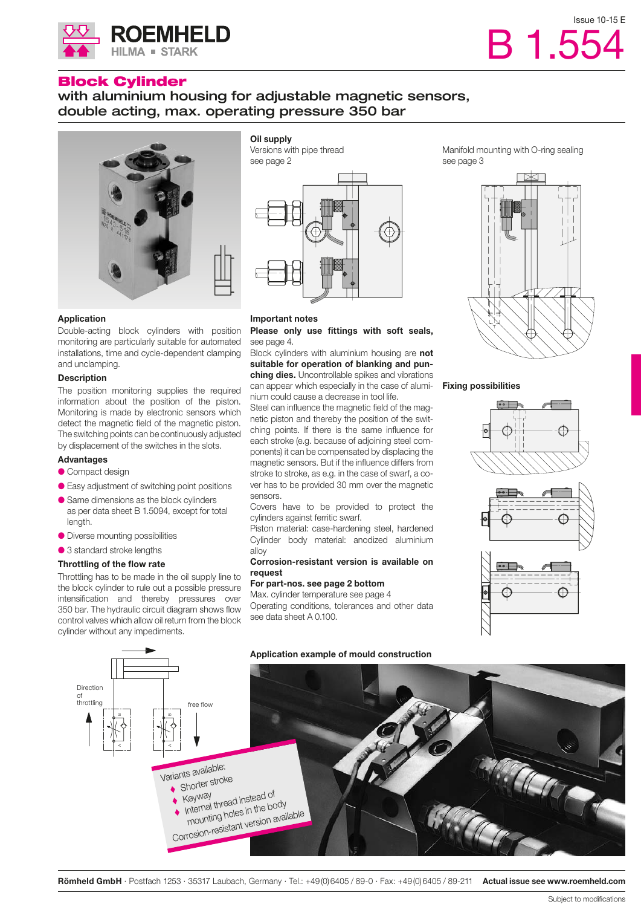

**ROEMHELD** 

**HILMA = STARK** 

with aluminium housing for adjustable magnetic sensors, double acting, max. operating pressure 350 bar



## **Application**

Double-acting block cylinders with position monitoring are particularly suitable for automated installations, time and cycle-dependent clamping and unclamping.

## **Description**

The position monitoring supplies the required information about the position of the piston. Monitoring is made by electronic sensors which detect the magnetic field of the magnetic piston. The switching points can be continuously adjusted by displacement of the switches in the slots.

#### **Advantages**

- Compact design
- Easy adjustment of switching point positions
- Same dimensions as the block cylinders
- as per data sheet B 1.5094, except for total length.
- Diverse mounting possibilities
- 3 standard stroke lengths

## **Throttling of the flow rate**

Throttling has to be made in the oil supply line to the block cylinder to rule out a possible pressure intensification and thereby pressures over 350 bar. The hydraulic circuit diagram shows flow control valves which allow oil return from the block cylinder without any impediments.



#### **Important notes**

**Please only use fittings with soft seals,** see page 4.

Block cylinders with aluminium housing are **not suitable for operation of blanking and punching dies.** Uncontrollable spikes and vibrations can appear which especially in the case of aluminium could cause a decrease in tool life.

Steel can influence the magnetic field of the magnetic piston and thereby the position of the switching points. If there is the same influence for each stroke (e.g. because of adjoining steel components) it can be compensated by displacing the magnetic sensors. But if the influence differs from stroke to stroke, as e.g. in the case of swarf, a cover has to be provided 30 mm over the magnetic sensors.

Covers have to be provided to protect the cylinders against ferritic swarf.

Piston material: case-hardening steel, hardened Cylinder body material: anodized aluminium alloy

## **Corrosion-resistant version is available on request**

# **For part-nos. see page 2 bottom**

Max. cylinder temperature see page 4 Operating conditions, tolerances and other data see data sheet A 0.100.

Manifold mounting with O-ring sealing see page 3

B 1.554

Issue 10-15 E



#### **Fixing possibilities**





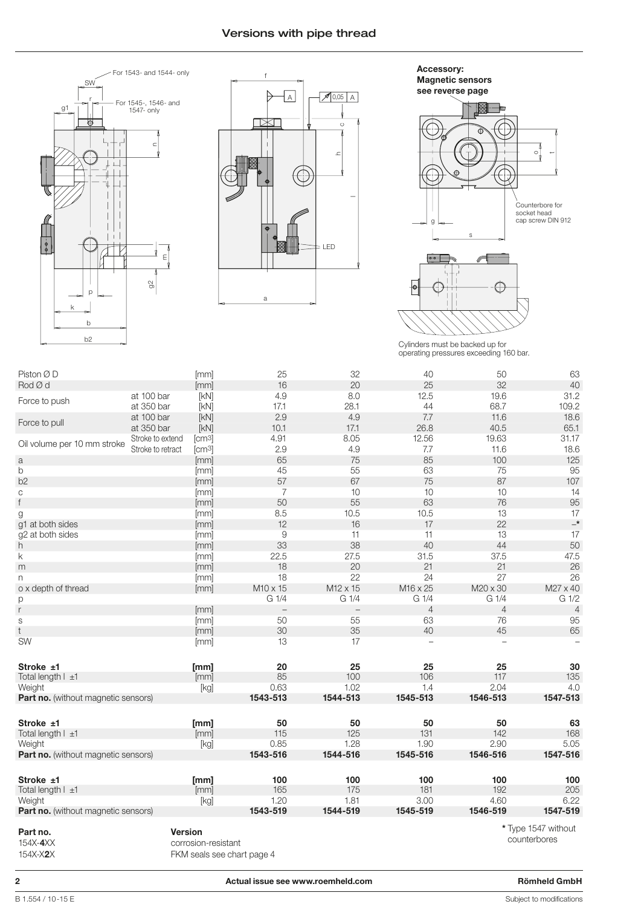# Versions with pipe thread





 $\overline{\phantom{a}}$ s g o **Accessory: Magnetic sensors see reverse page** Counterbore for socket head cap screw DIN 912



Cylinders must be backed up for operating pressures exceeding 160 bar.

| Piston Ø D                                 |                   | [mm]                | 25                       | 32                       | 40               | 50               | 63                                  |
|--------------------------------------------|-------------------|---------------------|--------------------------|--------------------------|------------------|------------------|-------------------------------------|
| Rod Ø d                                    |                   | [mm]                | 16                       | 20                       | 25               | 32               | 40                                  |
|                                            | at 100 bar        | [kN]                | 4.9                      | 8.0                      | 12.5             | 19.6             | 31.2                                |
| Force to push                              | at 350 bar        | [kN]                | 17.1                     | 28.1                     | 44               | 68.7             | 109.2                               |
|                                            | at 100 bar        | [KN]                | 2.9                      | 4.9                      | 7.7              | 11.6             | 18.6                                |
| Force to pull                              | at 350 bar        | [KN]                | 10.1                     | 17.1                     | 26.8             | 40.5             | 65.1                                |
|                                            | Stroke to extend  | [cm3]               | 4.91                     | 8.05                     | 12.56            | 19.63            | 31.17                               |
| Oil volume per 10 mm stroke                | Stroke to retract | [cm3]               | 2.9                      | 4.9                      | 7.7              | 11.6             | 18.6                                |
| a                                          |                   | [mm]                | 65                       | 75                       | 85               | 100              | 125                                 |
| b                                          |                   | [mm]                | 45                       | 55                       | 63               | 75               | 95                                  |
| b <sub>2</sub>                             |                   | [mm]                | 57                       | 67                       | 75               | 87               | 107                                 |
| C                                          |                   | [mm]                | 7                        | 10                       | 10               | 10               | 14                                  |
| f                                          |                   | [mm]                | 50                       | 55                       | 63               | 76               | 95                                  |
| g                                          |                   | [mm]                | 8.5                      | 10.5                     | 10.5             | 13               | 17                                  |
| g1 at both sides                           |                   | [mm]                | 12                       | 16                       | 17               | 22               | $\overline{\phantom{a}}^*$          |
| g2 at both sides                           |                   | [mm]                | 9                        | 11                       | 11               | 13               | 17                                  |
| h                                          |                   | [mm]                | 33                       | 38                       | 40               | 44               | 50                                  |
| k                                          |                   | [mm]                | 22.5                     | 27.5                     | 31.5             | 37.5             | 47.5                                |
| m                                          |                   | [mm]                | 18                       | 20                       | 21               | 21               | 26                                  |
| n                                          |                   | [mm]                | 18                       | 22                       | 24               | 27               | 26                                  |
| o x depth of thread                        |                   | [mm]                | M10 x 15                 | M12 x 15                 | M16 x 25         | M20 x 30         | M27 x 40                            |
| р                                          |                   |                     | G 1/4                    | G <sub>1/4</sub>         | G <sub>1/4</sub> | G <sub>1/4</sub> | G 1/2                               |
| r                                          |                   | [mm]                | $\overline{\phantom{0}}$ | $\overline{\phantom{0}}$ | 4                | $\overline{4}$   | $\overline{4}$                      |
| $\mathbb S$                                |                   | [mm]                | 50                       | 55                       | 63               | 76               | 95                                  |
| t                                          |                   | [mm]                | 30                       | 35                       | 40               | 45               | 65                                  |
| SW                                         |                   | [mm]                | 13                       | 17                       |                  |                  |                                     |
| Stroke ±1                                  |                   | [mm]                | 20                       | 25                       | 25               | 25               | 30                                  |
| Total length $ \pm 1 $                     |                   | [mm]                | 85                       | 100                      | 106              | 117              | 135                                 |
| Weight                                     |                   | [kg]                | 0.63                     | 1.02                     | 1.4              | 2.04             | 4.0                                 |
| Part no. (without magnetic sensors)        |                   |                     | 1543-513                 | 1544-513                 | 1545-513         | 1546-513         | 1547-513                            |
| Stroke ±1                                  |                   | [mm]                | 50                       | 50                       | 50               | 50               | 63                                  |
| Total length   ±1                          |                   | [mm]                | 115                      | 125                      | 131              | 142              | 168                                 |
| Weight                                     |                   | [kg]                | 0.85                     | 1.28                     | 1.90             | 2.90             | 5.05                                |
| <b>Part no.</b> (without magnetic sensors) |                   |                     | 1543-516                 | 1544-516                 | 1545-516         | 1546-516         | 1547-516                            |
| Stroke ±1                                  |                   | [mm]                | 100                      | 100                      | 100              | 100              | 100                                 |
| Total length I ±1                          |                   | [mm]                | 165                      | 175                      | 181              | 192              | 205                                 |
| Weight                                     |                   | [kg]                | 1.20                     | 1.81                     | 3.00             | 4.60             | 6.22                                |
| Part no. (without magnetic sensors)        |                   |                     | 1543-519                 | 1544-519                 | 1545-519         | 1546-519         | 1547-519                            |
| Part no.<br>154X-4XX                       | <b>Version</b>    | corrosion-resistant |                          |                          |                  |                  | * Type 1547 without<br>counterbores |

154X-X**2**X FKM seals see chart page 4

**2 Actual issue see www.roemheld.com Römheld GmbH**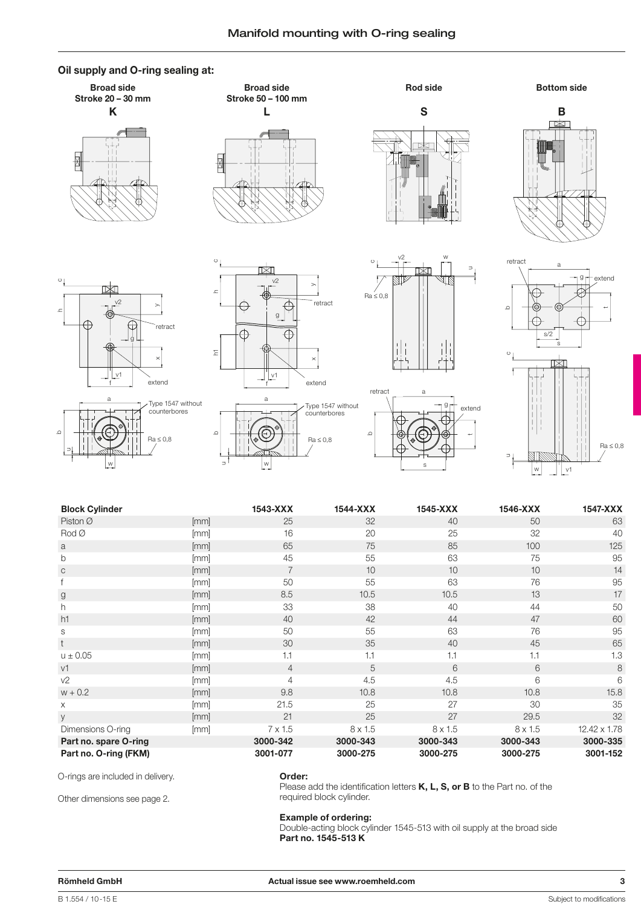# **Oil supply and O-ring sealing at:**



w

u





| <b>Block Cylinder</b> |      | 1543-XXX       | 1544-XXX | 1545-XXX       | 1546-XXX       | 1547-XXX     |
|-----------------------|------|----------------|----------|----------------|----------------|--------------|
| Piston $\varnothing$  | [mm] | 25             | 32       | 40             | 50             | 63           |
| Rod                   | [mm] | 16             | 20       | 25             | 32             | 40           |
| a                     | [mm] | 65             | 75       | 85             | 100            | 125          |
| b                     | [mm] | 45             | 55       | 63             | 75             | 95           |
| $\mathsf{C}$          | [mm] | $\overline{7}$ | 10       | 10             | 10             | 14           |
|                       | [mm] | 50             | 55       | 63             | 76             | 95           |
| g                     | [mm] | 8.5            | 10.5     | 10.5           | 13             | 17           |
| h.                    | [mm] | 33             | 38       | 40             | 44             | 50           |
| h1                    | [mm] | 40             | 42       | 44             | 47             | 60           |
| S                     | [mm] | 50             | 55       | 63             | 76             | 95           |
| t                     | [mm] | 30             | 35       | 40             | 45             | 65           |
| $u \pm 0.05$          | [mm] | 1.1            | 1.1      | 1.1            | 1.1            | 1.3          |
| v1                    | [mm] | $\overline{4}$ | 5        | 6              | 6              | 8            |
| V <sub>2</sub>        | [mm] | $\overline{4}$ | 4.5      | 4.5            | 6              | 6            |
| $w + 0.2$             | [mm] | 9.8            | 10.8     | 10.8           | 10.8           | 15.8         |
| X                     | [mm] | 21.5           | 25       | 27             | 30             | 35           |
| y                     | [mm] | 21             | 25       | 27             | 29.5           | 32           |
| Dimensions O-ring     | [mm] | $7 \times 1.5$ | 8 x 1.5  | $8 \times 1.5$ | $8 \times 1.5$ | 12.42 x 1.78 |
| Part no. spare O-ring |      | 3000-342       | 3000-343 | 3000-343       | 3000-343       | 3000-335     |
| Part no. O-ring (FKM) |      | 3001-077       | 3000-275 | 3000-275       | 3000-275       | 3001-152     |

O-rings are included in delivery.

w

Other dimensions see page 2.

## **Order:**

Please add the identification letters **K, L, S, or B** to the Part no. of the required block cylinder.

s

## **Example of ordering:**

Double-acting block cylinder 1545-513 with oil supply at the broad side **Part no. 1545-513 K**